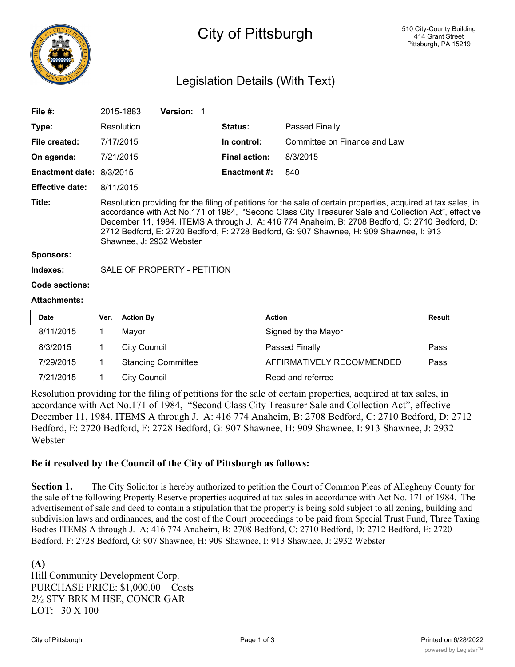

# City of Pittsburgh

## Legislation Details (With Text)

| File #:                      |                                                                                                                                                                                                                                                                                                                                                                                                                                                | 2015-1883           | Version: 1                  |  |                      |                              |               |  |  |
|------------------------------|------------------------------------------------------------------------------------------------------------------------------------------------------------------------------------------------------------------------------------------------------------------------------------------------------------------------------------------------------------------------------------------------------------------------------------------------|---------------------|-----------------------------|--|----------------------|------------------------------|---------------|--|--|
| Type:                        |                                                                                                                                                                                                                                                                                                                                                                                                                                                | Resolution          |                             |  | <b>Status:</b>       | Passed Finally               |               |  |  |
| File created:                |                                                                                                                                                                                                                                                                                                                                                                                                                                                | 7/17/2015           |                             |  | In control:          | Committee on Finance and Law |               |  |  |
| On agenda:                   |                                                                                                                                                                                                                                                                                                                                                                                                                                                | 7/21/2015           |                             |  | <b>Final action:</b> | 8/3/2015                     |               |  |  |
| Enactment date: 8/3/2015     |                                                                                                                                                                                                                                                                                                                                                                                                                                                |                     |                             |  | Enactment #:         | 540                          |               |  |  |
| <b>Effective date:</b>       |                                                                                                                                                                                                                                                                                                                                                                                                                                                | 8/11/2015           |                             |  |                      |                              |               |  |  |
| Title:                       | Resolution providing for the filing of petitions for the sale of certain properties, acquired at tax sales, in<br>accordance with Act No.171 of 1984, "Second Class City Treasurer Sale and Collection Act", effective<br>December 11, 1984. ITEMS A through J. A: 416 774 Anaheim, B: 2708 Bedford, C: 2710 Bedford, D:<br>2712 Bedford, E: 2720 Bedford, F: 2728 Bedford, G: 907 Shawnee, H: 909 Shawnee, I: 913<br>Shawnee, J: 2932 Webster |                     |                             |  |                      |                              |               |  |  |
| <b>Sponsors:</b><br>Indexes: |                                                                                                                                                                                                                                                                                                                                                                                                                                                |                     | SALE OF PROPERTY - PETITION |  |                      |                              |               |  |  |
| Code sections:               |                                                                                                                                                                                                                                                                                                                                                                                                                                                |                     |                             |  |                      |                              |               |  |  |
| <b>Attachments:</b>          |                                                                                                                                                                                                                                                                                                                                                                                                                                                |                     |                             |  |                      |                              |               |  |  |
| <b>Date</b>                  | Ver.                                                                                                                                                                                                                                                                                                                                                                                                                                           | <b>Action By</b>    |                             |  | <b>Action</b>        |                              | <b>Result</b> |  |  |
| 8/11/2015                    | 1                                                                                                                                                                                                                                                                                                                                                                                                                                              | Mayor               |                             |  |                      | Signed by the Mayor          |               |  |  |
| 8/3/2015                     | 1                                                                                                                                                                                                                                                                                                                                                                                                                                              | <b>City Council</b> |                             |  |                      | Passed Finally               | Pass          |  |  |
|                              |                                                                                                                                                                                                                                                                                                                                                                                                                                                |                     |                             |  |                      |                              |               |  |  |

| 7/29/2015 | <b>Standing Committee</b> | AFFIRMATIVELY RECOMMENDED                                                                                                                                                                                                | Pass |
|-----------|---------------------------|--------------------------------------------------------------------------------------------------------------------------------------------------------------------------------------------------------------------------|------|
| 7/21/2015 | City Council              | Read and referred                                                                                                                                                                                                        |      |
|           |                           | Resolution providing for the filing of petitions for the sale of certain properties, acquired at tax sales, in<br>example no with A at No. 171 of 1004, "Cogond Class City Treasurer Sale and Collection A at" offective |      |

accordance with Act No.171 of 1984, "Second Class City Treasurer Sale and Collection Act", effective December 11, 1984. ITEMS A through J. A: 416 774 Anaheim, B: 2708 Bedford, C: 2710 Bedford, D: 2712 Bedford, E: 2720 Bedford, F: 2728 Bedford, G: 907 Shawnee, H: 909 Shawnee, I: 913 Shawnee, J: 2932 Webster

#### **Be it resolved by the Council of the City of Pittsburgh as follows:**

**Section 1.** The City Solicitor is hereby authorized to petition the Court of Common Pleas of Allegheny County for the sale of the following Property Reserve properties acquired at tax sales in accordance with Act No. 171 of 1984. The advertisement of sale and deed to contain a stipulation that the property is being sold subject to all zoning, building and subdivision laws and ordinances, and the cost of the Court proceedings to be paid from Special Trust Fund, Three Taxing Bodies ITEMS A through J. A: 416 774 Anaheim, B: 2708 Bedford, C: 2710 Bedford, D: 2712 Bedford, E: 2720 Bedford, F: 2728 Bedford, G: 907 Shawnee, H: 909 Shawnee, I: 913 Shawnee, J: 2932 Webster

**(A)** Hill Community Development Corp. PURCHASE PRICE: \$1,000.00 + Costs 2½ STY BRK M HSE, CONCR GAR LOT: 30 X 100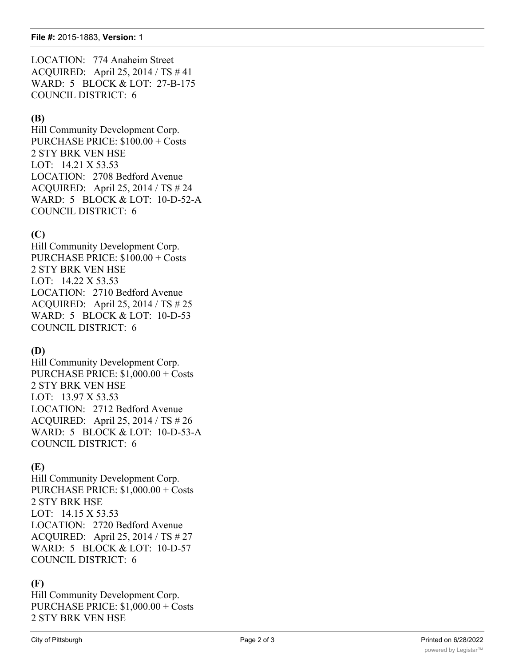LOCATION: 774 Anaheim Street ACQUIRED: April 25, 2014 / TS # 41 WARD: 5 BLOCK & LOT: 27-B-175 COUNCIL DISTRICT: 6

#### **(B)**

Hill Community Development Corp. PURCHASE PRICE: \$100.00 + Costs 2 STY BRK VEN HSE LOT: 14.21 X 53.53 LOCATION: 2708 Bedford Avenue ACQUIRED: April 25, 2014 / TS # 24 WARD: 5 BLOCK & LOT: 10-D-52-A COUNCIL DISTRICT: 6

### **(C)**

Hill Community Development Corp. PURCHASE PRICE: \$100.00 + Costs 2 STY BRK VEN HSE LOT: 14.22 X 53.53 LOCATION: 2710 Bedford Avenue ACQUIRED: April 25, 2014 / TS # 25 WARD: 5 BLOCK & LOT: 10-D-53 COUNCIL DISTRICT: 6

#### **(D)**

Hill Community Development Corp. PURCHASE PRICE: \$1,000.00 + Costs 2 STY BRK VEN HSE LOT: 13.97 X 53.53 LOCATION: 2712 Bedford Avenue ACQUIRED: April 25, 2014 / TS # 26 WARD: 5 BLOCK & LOT: 10-D-53-A COUNCIL DISTRICT: 6

#### **(E)**

Hill Community Development Corp. PURCHASE PRICE: \$1,000.00 + Costs 2 STY BRK HSE LOT: 14.15 X 53.53 LOCATION: 2720 Bedford Avenue ACQUIRED: April 25, 2014 / TS # 27 WARD: 5 BLOCK & LOT: 10-D-57 COUNCIL DISTRICT: 6

#### **(F)**

Hill Community Development Corp. PURCHASE PRICE: \$1,000.00 + Costs 2 STY BRK VEN HSE